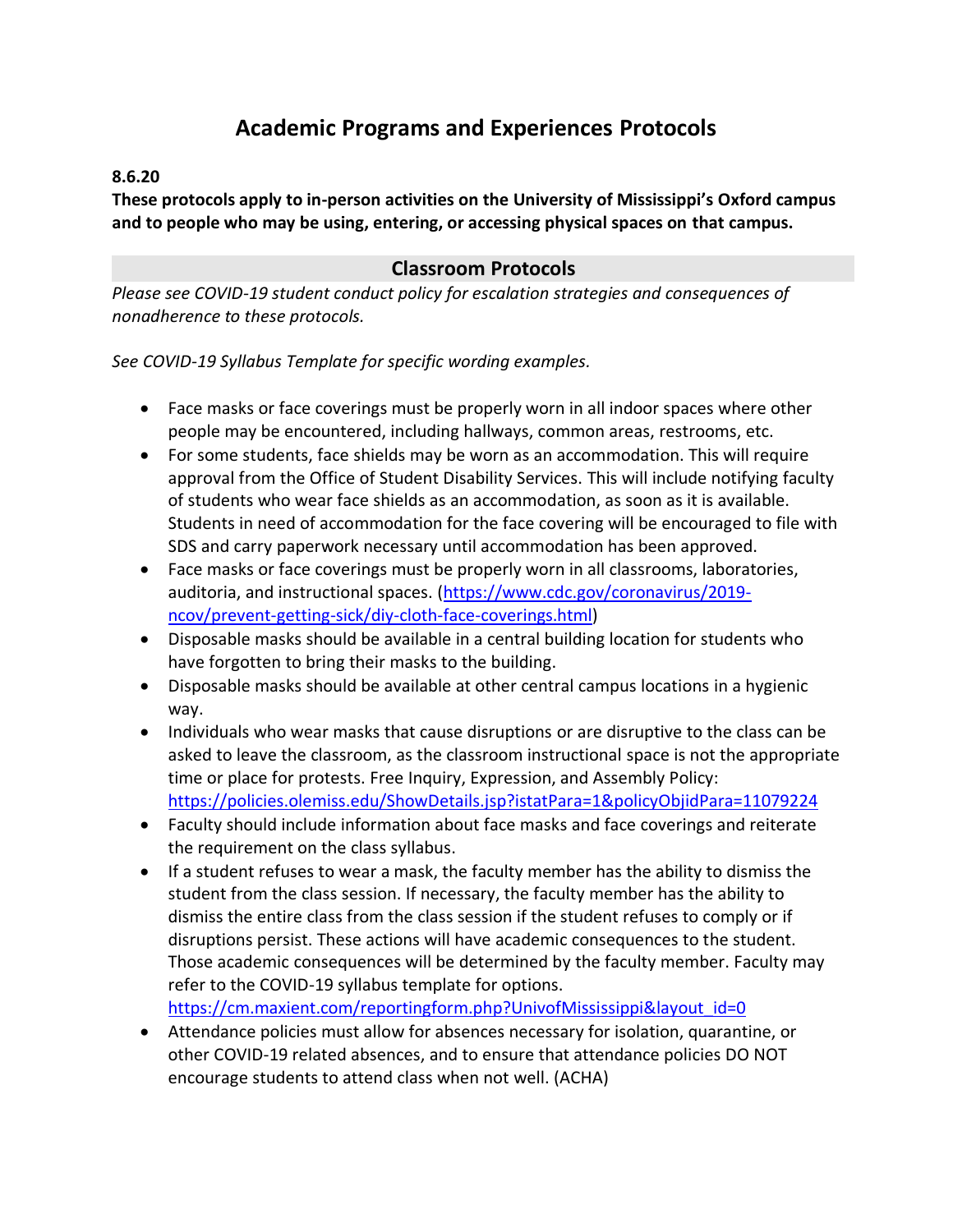# **Academic Programs and Experiences Protocols**

#### **8.6.20**

**These protocols apply to in-person activities on the University of Mississippi's Oxford campus and to people who may be using, entering, or accessing physical spaces on that campus.**

## **Classroom Protocols**

*Please see COVID-19 student conduct policy for escalation strategies and consequences of nonadherence to these protocols.*

*See COVID-19 Syllabus Template for specific wording examples.*

- Face masks or face coverings must be properly worn in all indoor spaces where other people may be encountered, including hallways, common areas, restrooms, etc.
- For some students, face shields may be worn as an accommodation. This will require approval from the Office of Student Disability Services. This will include notifying faculty of students who wear face shields as an accommodation, as soon as it is available. Students in need of accommodation for the face covering will be encouraged to file with SDS and carry paperwork necessary until accommodation has been approved.
- Face masks or face coverings must be properly worn in all classrooms, laboratories, auditoria, and instructional spaces. [\(https://www.cdc.gov/coronavirus/2019](https://www.cdc.gov/coronavirus/2019-ncov/prevent-getting-sick/diy-cloth-face-coverings.html) [ncov/prevent-getting-sick/diy-cloth-face-coverings.html\)](https://www.cdc.gov/coronavirus/2019-ncov/prevent-getting-sick/diy-cloth-face-coverings.html)
- Disposable masks should be available in a central building location for students who have forgotten to bring their masks to the building.
- Disposable masks should be available at other central campus locations in a hygienic way.
- Individuals who wear masks that cause disruptions or are disruptive to the class can be asked to leave the classroom, as the classroom instructional space is not the appropriate time or place for protests. Free Inquiry, Expression, and Assembly Policy: <https://policies.olemiss.edu/ShowDetails.jsp?istatPara=1&policyObjidPara=11079224>
- Faculty should include information about face masks and face coverings and reiterate the requirement on the class syllabus.
- If a student refuses to wear a mask, the faculty member has the ability to dismiss the student from the class session. If necessary, the faculty member has the ability to dismiss the entire class from the class session if the student refuses to comply or if disruptions persist. These actions will have academic consequences to the student. Those academic consequences will be determined by the faculty member. Faculty may refer to the COVID-19 syllabus template for options. [https://cm.maxient.com/reportingform.php?UnivofMississippi&layout\\_id=0](https://cm.maxient.com/reportingform.php?UnivofMississippi&layout_id=0)

• Attendance policies must allow for absences necessary for isolation, quarantine, or

other COVID-19 related absences, and to ensure that attendance policies DO NOT encourage students to attend class when not well. (ACHA)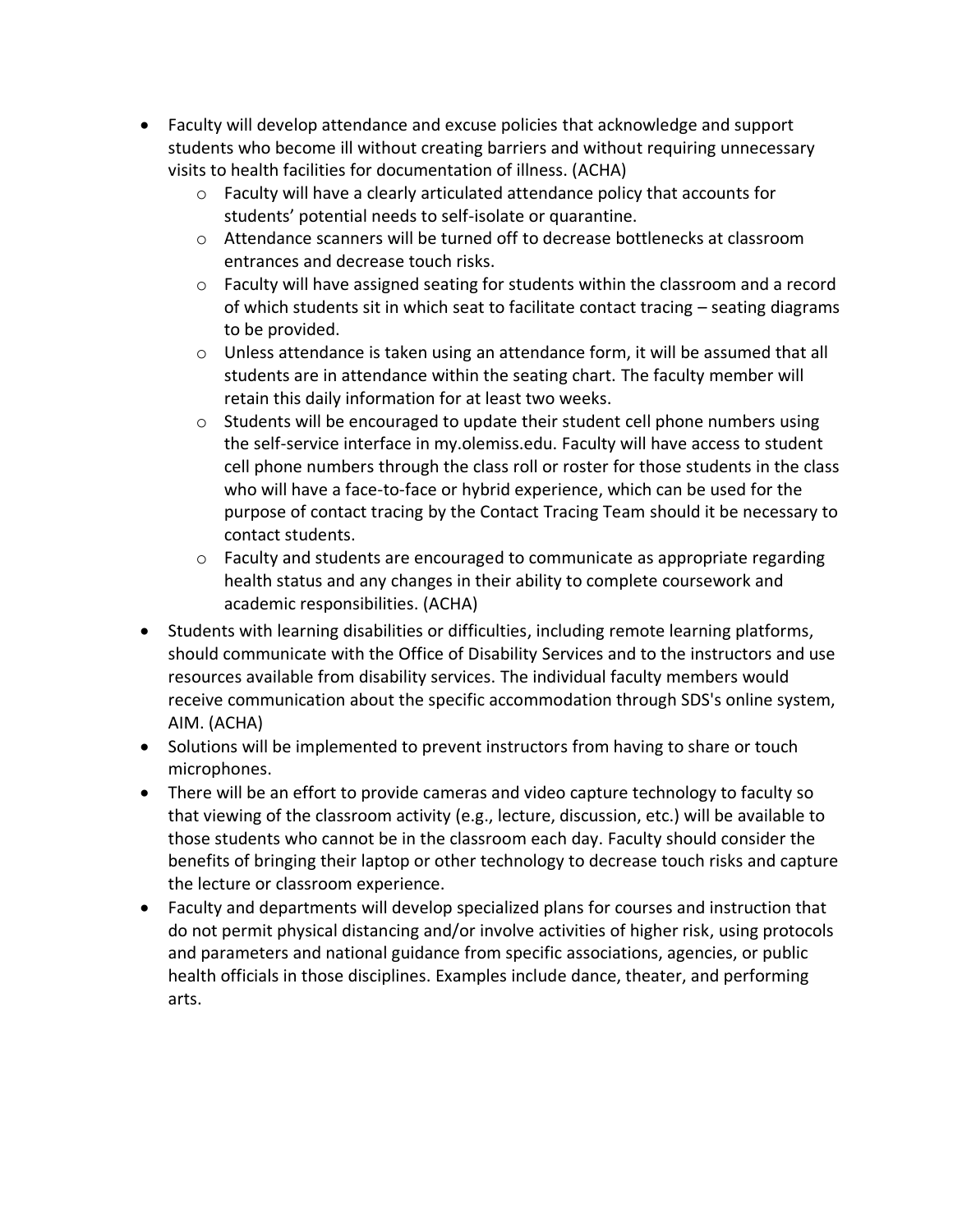- Faculty will develop attendance and excuse policies that acknowledge and support students who become ill without creating barriers and without requiring unnecessary visits to health facilities for documentation of illness. (ACHA)
	- o Faculty will have a clearly articulated attendance policy that accounts for students' potential needs to self-isolate or quarantine.
	- o Attendance scanners will be turned off to decrease bottlenecks at classroom entrances and decrease touch risks.
	- $\circ$  Faculty will have assigned seating for students within the classroom and a record of which students sit in which seat to facilitate contact tracing – seating diagrams to be provided.
	- $\circ$  Unless attendance is taken using an attendance form, it will be assumed that all students are in attendance within the seating chart. The faculty member will retain this daily information for at least two weeks.
	- $\circ$  Students will be encouraged to update their student cell phone numbers using the self-service interface in my.olemiss.edu. Faculty will have access to student cell phone numbers through the class roll or roster for those students in the class who will have a face-to-face or hybrid experience, which can be used for the purpose of contact tracing by the Contact Tracing Team should it be necessary to contact students.
	- $\circ$  Faculty and students are encouraged to communicate as appropriate regarding health status and any changes in their ability to complete coursework and academic responsibilities. (ACHA)
- Students with learning disabilities or difficulties, including remote learning platforms, should communicate with the Office of Disability Services and to the instructors and use resources available from disability services. The individual faculty members would receive communication about the specific accommodation through SDS's online system, AIM. (ACHA)
- Solutions will be implemented to prevent instructors from having to share or touch microphones.
- There will be an effort to provide cameras and video capture technology to faculty so that viewing of the classroom activity (e.g., lecture, discussion, etc.) will be available to those students who cannot be in the classroom each day. Faculty should consider the benefits of bringing their laptop or other technology to decrease touch risks and capture the lecture or classroom experience.
- Faculty and departments will develop specialized plans for courses and instruction that do not permit physical distancing and/or involve activities of higher risk, using protocols and parameters and national guidance from specific associations, agencies, or public health officials in those disciplines. Examples include dance, theater, and performing arts.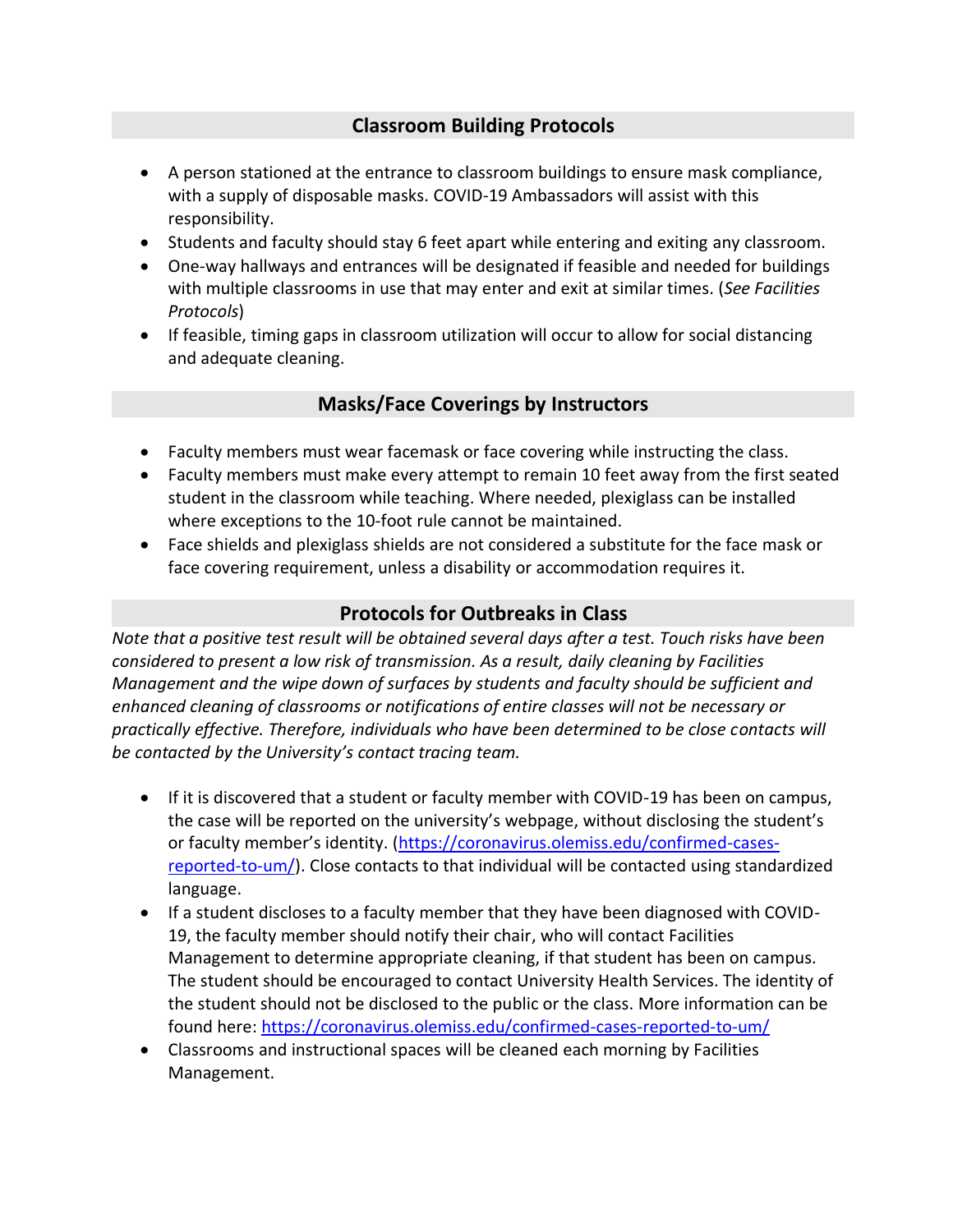#### **Classroom Building Protocols**

- A person stationed at the entrance to classroom buildings to ensure mask compliance, with a supply of disposable masks. COVID-19 Ambassadors will assist with this responsibility.
- Students and faculty should stay 6 feet apart while entering and exiting any classroom.
- One-way hallways and entrances will be designated if feasible and needed for buildings with multiple classrooms in use that may enter and exit at similar times. (*See Facilities Protocols*)
- If feasible, timing gaps in classroom utilization will occur to allow for social distancing and adequate cleaning.

### **Masks/Face Coverings by Instructors**

- Faculty members must wear facemask or face covering while instructing the class.
- Faculty members must make every attempt to remain 10 feet away from the first seated student in the classroom while teaching. Where needed, plexiglass can be installed where exceptions to the 10-foot rule cannot be maintained.
- Face shields and plexiglass shields are not considered a substitute for the face mask or face covering requirement, unless a disability or accommodation requires it.

#### **Protocols for Outbreaks in Class**

*Note that a positive test result will be obtained several days after a test. Touch risks have been considered to present a low risk of transmission. As a result, daily cleaning by Facilities Management and the wipe down of surfaces by students and faculty should be sufficient and enhanced cleaning of classrooms or notifications of entire classes will not be necessary or practically effective. Therefore, individuals who have been determined to be close contacts will be contacted by the University's contact tracing team.*

- If it is discovered that a student or faculty member with COVID-19 has been on campus, the case will be reported on the university's webpage, without disclosing the student's or faculty member's identity. [\(https://coronavirus.olemiss.edu/confirmed-cases](https://coronavirus.olemiss.edu/confirmed-cases-reported-to-um/)[reported-to-um/\)](https://coronavirus.olemiss.edu/confirmed-cases-reported-to-um/). Close contacts to that individual will be contacted using standardized language.
- If a student discloses to a faculty member that they have been diagnosed with COVID-19, the faculty member should notify their chair, who will contact Facilities Management to determine appropriate cleaning, if that student has been on campus. The student should be encouraged to contact University Health Services. The identity of the student should not be disclosed to the public or the class. More information can be found here:<https://coronavirus.olemiss.edu/confirmed-cases-reported-to-um/>
- Classrooms and instructional spaces will be cleaned each morning by Facilities Management.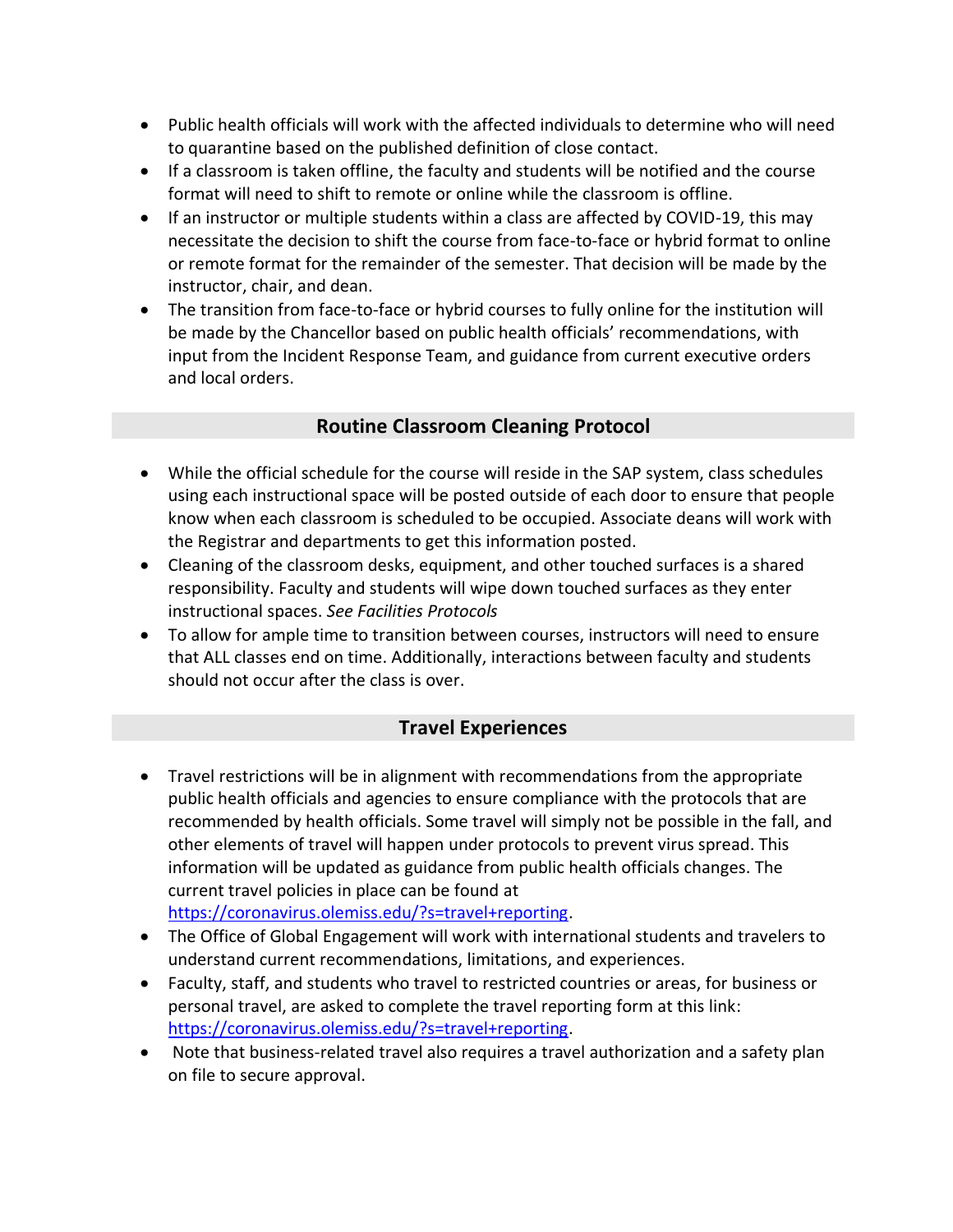- Public health officials will work with the affected individuals to determine who will need to quarantine based on the published definition of close contact.
- If a classroom is taken offline, the faculty and students will be notified and the course format will need to shift to remote or online while the classroom is offline.
- If an instructor or multiple students within a class are affected by COVID-19, this may necessitate the decision to shift the course from face-to-face or hybrid format to online or remote format for the remainder of the semester. That decision will be made by the instructor, chair, and dean.
- The transition from face-to-face or hybrid courses to fully online for the institution will be made by the Chancellor based on public health officials' recommendations, with input from the Incident Response Team, and guidance from current executive orders and local orders.

### **Routine Classroom Cleaning Protocol**

- While the official schedule for the course will reside in the SAP system, class schedules using each instructional space will be posted outside of each door to ensure that people know when each classroom is scheduled to be occupied. Associate deans will work with the Registrar and departments to get this information posted.
- Cleaning of the classroom desks, equipment, and other touched surfaces is a shared responsibility. Faculty and students will wipe down touched surfaces as they enter instructional spaces. *See Facilities Protocols*
- To allow for ample time to transition between courses, instructors will need to ensure that ALL classes end on time. Additionally, interactions between faculty and students should not occur after the class is over.

# **Travel Experiences**

• Travel restrictions will be in alignment with recommendations from the appropriate public health officials and agencies to ensure compliance with the protocols that are recommended by health officials. Some travel will simply not be possible in the fall, and other elements of travel will happen under protocols to prevent virus spread. This information will be updated as guidance from public health officials changes. The current travel policies in place can be found at

[https://coronavirus.olemiss.edu/?s=travel+reporting.](https://coronavirus.olemiss.edu/?s=travel+reporting)

- The Office of Global Engagement will work with international students and travelers to understand current recommendations, limitations, and experiences.
- Faculty, staff, and students who travel to restricted countries or areas, for business or personal travel, are asked to complete the travel reporting form at this link: [https://coronavirus.olemiss.edu/?s=travel+reporting.](https://coronavirus.olemiss.edu/?s=travel+reporting)
- Note that business-related travel also requires a travel authorization and a safety plan on file to secure approval.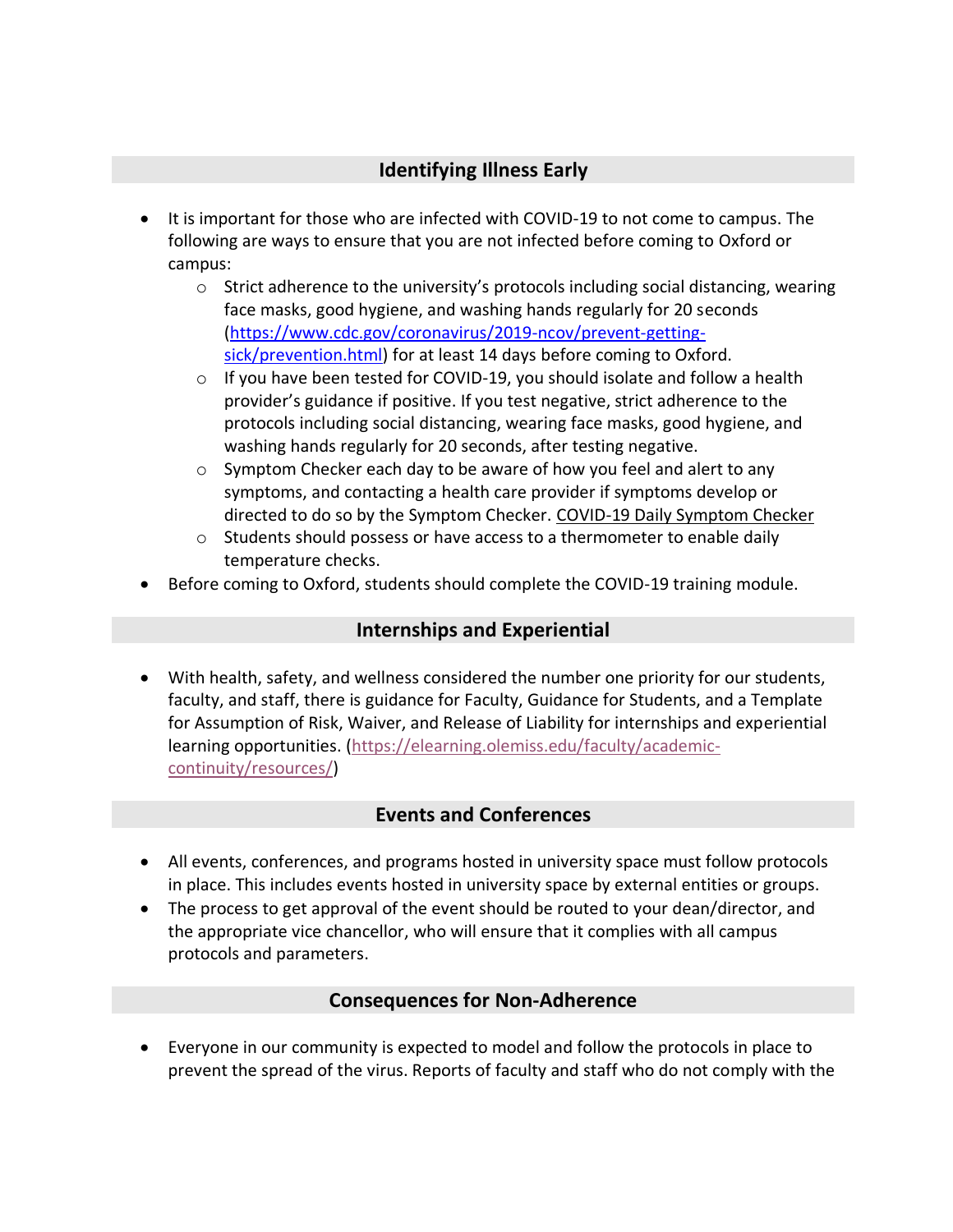# **Identifying Illness Early**

- It is important for those who are infected with COVID-19 to not come to campus. The following are ways to ensure that you are not infected before coming to Oxford or campus:
	- $\circ$  Strict adherence to the university's protocols including social distancing, wearing face masks, good hygiene, and washing hands regularly for 20 seconds [\(https://www.cdc.gov/coronavirus/2019-ncov/prevent-getting](https://www.cdc.gov/coronavirus/2019-ncov/prevent-getting-sick/prevention.html)[sick/prevention.html\)](https://www.cdc.gov/coronavirus/2019-ncov/prevent-getting-sick/prevention.html) for at least 14 days before coming to Oxford.
	- $\circ$  If you have been tested for COVID-19, you should isolate and follow a health provider's guidance if positive. If you test negative, strict adherence to the protocols including social distancing, wearing face masks, good hygiene, and washing hands regularly for 20 seconds, after testing negative.
	- o Symptom Checker each day to be aware of how you feel and alert to any symptoms, and contacting a health care provider if symptoms develop or directed to do so by the Symptom Checker. [COVID-19 Daily Symptom Checker](https://uofmississippi.qualtrics.com/jfe/form/SV_eKH25jxIIHAr8A5)
	- o Students should possess or have access to a thermometer to enable daily temperature checks.
- Before coming to Oxford, students should complete the COVID-19 training module.

# **Internships and Experiential**

• With health, safety, and wellness considered the number one priority for our students, faculty, and staff, there is guidance for Faculty, Guidance for Students, and a Template for Assumption of Risk, Waiver, and Release of Liability for internships and experiential learning opportunities. [\(https://elearning.olemiss.edu/faculty/academic](https://elearning.olemiss.edu/faculty/academic-continuity/resources/)[continuity/resources/\)](https://elearning.olemiss.edu/faculty/academic-continuity/resources/)

# **Events and Conferences**

- All events, conferences, and programs hosted in university space must follow protocols in place. This includes events hosted in university space by external entities or groups.
- The process to get approval of the event should be routed to your dean/director, and the appropriate vice chancellor, who will ensure that it complies with all campus protocols and parameters.

# **Consequences for Non-Adherence**

• Everyone in our community is expected to model and follow the protocols in place to prevent the spread of the virus. Reports of faculty and staff who do not comply with the